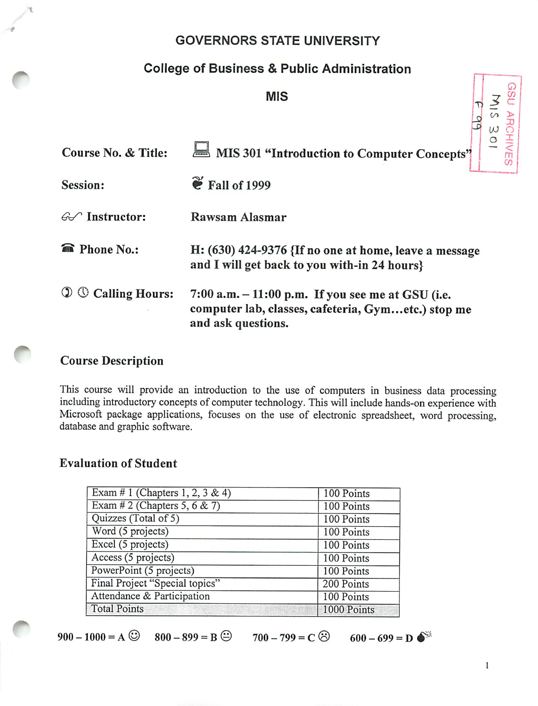### GOVERNORS STATE UNIVERSITY

## College of Business & Public Administration

MIS

| MIS                                 |                                                                                                                                  |  |  |  |  |
|-------------------------------------|----------------------------------------------------------------------------------------------------------------------------------|--|--|--|--|
|                                     |                                                                                                                                  |  |  |  |  |
| <b>Course No. &amp; Title:</b>      | MIS 301 "Introduction to Computer Concepts"                                                                                      |  |  |  |  |
| Session:                            | $\mathbf{\tilde{e}}$ Fall of 1999                                                                                                |  |  |  |  |
| $\mathcal{A}$ Instructor:           | Rawsam Alasmar                                                                                                                   |  |  |  |  |
| <b>Phone No.:</b><br>$\blacksquare$ | H: $(630)$ 424-9376 {If no one at home, leave a message<br>and I will get back to you with-in 24 hours}                          |  |  |  |  |
| $\mathbb O$ Calling Hours:          | $7:00$ a.m. $-11:00$ p.m. If you see me at GSU (i.e.<br>computer lab, classes, cafeteria, Gymetc.) stop me<br>and ask questions. |  |  |  |  |

#### *Course Description*

*r*

This course will provide an introduction to the use of computers in business data processing including introductory concepts of computer technology. This will include hands-on experience with Microsoft package applications, focuses on the use of electronic spreadsheet, word processing, database and graphic software.

#### *Evaluation of Student*

| Exam # 1 (Chapters 1, 2, 3 & 4) | 100 Points  |
|---------------------------------|-------------|
| Exam # 2 (Chapters 5, 6 & 7)    | 100 Points  |
| Quizzes (Total of 5)            | 100 Points  |
| Word (5 projects)               | 100 Points  |
| Excel (5 projects)              | 100 Points  |
| Access (5 projects)             | 100 Points  |
| PowerPoint (5 projects)         | 100 Points  |
| Final Project "Special topics"  | 200 Points  |
| Attendance & Participation      | 100 Points  |
| <b>Total Points</b>             | 1000 Points |

 $900-1000 = A$  <sup> $\odot$ </sup>  $800-899 = B$   $\odot$   $700-799 = C$   $\odot$   $600-699 = D$   $\bullet$ <sup>\*</sup>

 $\omega$